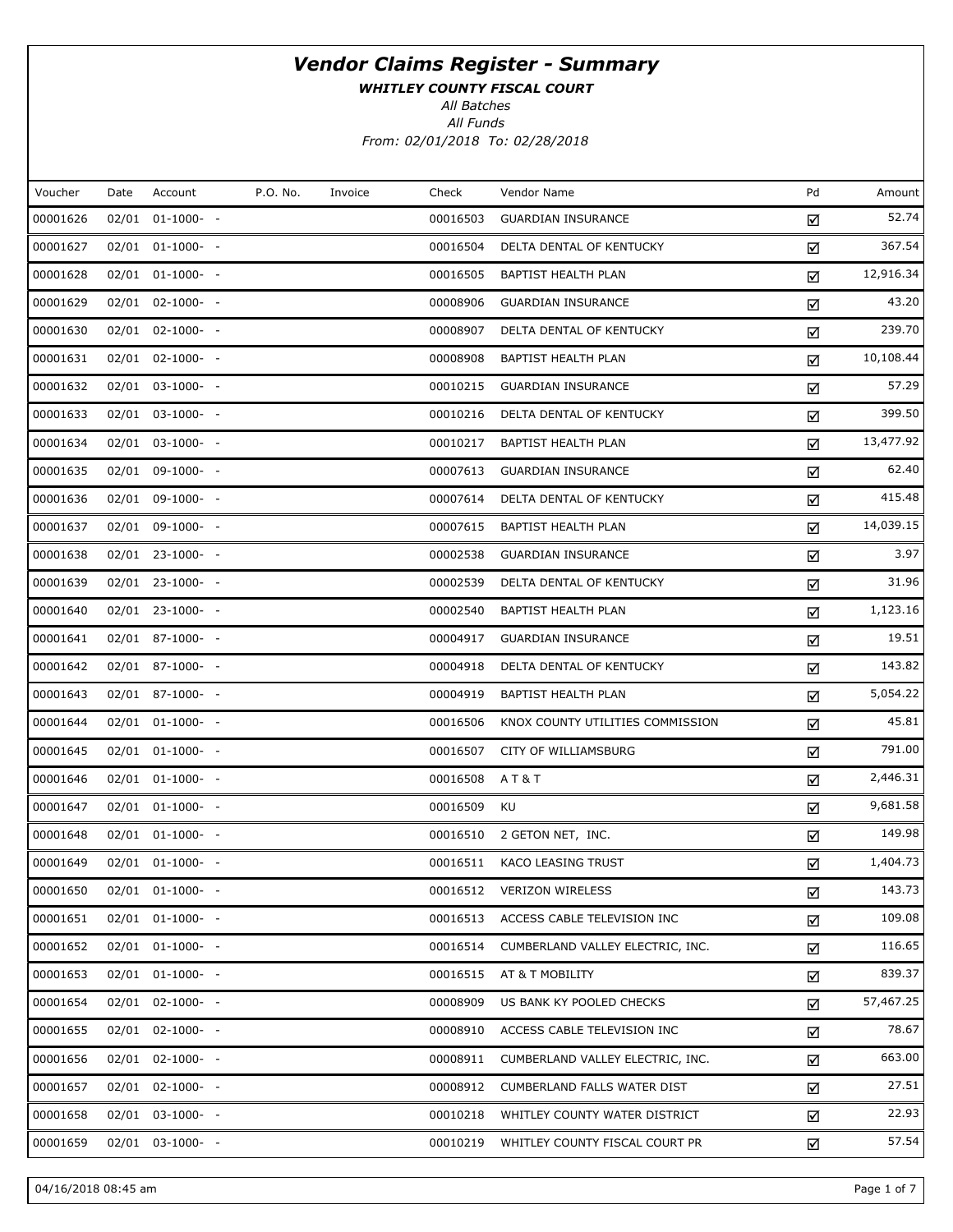WHITLEY COUNTY FISCAL COURT

All Batches

All Funds From: 02/01/2018 To: 02/28/2018

| Voucher<br>P.O. No.<br>Check<br>Pd<br>Date<br>Account<br>Invoice<br>Vendor Name<br>Amount<br>52.74<br>00001626<br>$02/01$ $01-1000-$ -<br>00016503<br><b>GUARDIAN INSURANCE</b><br>☑<br>367.54<br>00001627<br>$02/01$ $01-1000$ - -<br>00016504<br>DELTA DENTAL OF KENTUCKY<br>☑<br>12,916.34<br>00001628<br>02/01 01-1000- -<br>00016505<br>BAPTIST HEALTH PLAN<br>☑<br>43.20<br>00001629<br>$02/01$ $02-1000$ - -<br>00008906<br><b>GUARDIAN INSURANCE</b><br>☑<br>239.70<br>00001630<br>02/01 02-1000- -<br>00008907<br>DELTA DENTAL OF KENTUCKY<br>☑<br>10,108.44<br>00001631<br>02/01 02-1000- -<br>00008908<br>BAPTIST HEALTH PLAN<br>☑<br>57.29<br>00001632<br>02/01 03-1000- -<br>00010215<br><b>GUARDIAN INSURANCE</b><br>☑<br>399.50<br>00001633<br>02/01 03-1000- -<br>00010216<br>DELTA DENTAL OF KENTUCKY<br>☑<br>13,477.92<br>00001634<br>02/01 03-1000- -<br>00010217<br>BAPTIST HEALTH PLAN<br>☑<br>62.40<br>00001635<br>02/01 09-1000- -<br>00007613<br><b>GUARDIAN INSURANCE</b><br>☑<br>415.48<br>00001636<br>02/01 09-1000- -<br>00007614<br>DELTA DENTAL OF KENTUCKY<br>☑<br>14,039.15<br>00001637<br>02/01 09-1000- -<br>00007615<br>BAPTIST HEALTH PLAN<br>☑<br>3.97<br>00001638<br>02/01 23-1000- -<br>00002538<br><b>GUARDIAN INSURANCE</b><br>☑<br>31.96<br>00001639<br>02/01 23-1000- -<br>00002539<br>DELTA DENTAL OF KENTUCKY<br>☑<br>1,123.16<br>00001640<br>02/01 23-1000- -<br>00002540<br>BAPTIST HEALTH PLAN<br>☑<br>19.51<br>00001641<br>02/01 87-1000- -<br>00004917<br><b>GUARDIAN INSURANCE</b><br>☑<br>143.82<br>00001642<br>02/01 87-1000- -<br>00004918<br>DELTA DENTAL OF KENTUCKY<br>☑<br>5,054.22<br>00001643<br>02/01 87-1000- -<br>00004919<br>BAPTIST HEALTH PLAN<br>☑<br>45.81<br>00001644<br>$02/01$ $01-1000-$ -<br>00016506<br>KNOX COUNTY UTILITIES COMMISSION<br>☑<br>791.00<br>00001645<br>$02/01$ $01-1000-$ -<br>00016507<br>CITY OF WILLIAMSBURG<br>☑<br>2,446.31<br>00001646<br>$02/01$ $01-1000-$ -<br>00016508<br>A T & T<br>☑<br>9,681.58<br>00001647<br>02/01 01-1000- -<br>KU<br>00016509<br>☑<br>149.98<br>00001648<br>$02/01$ $01-1000-$ -<br>00016510<br>2 GETON NET, INC.<br>☑<br>1,404.73<br>00001649<br>$02/01$ $01-1000-$ -<br>00016511<br><b>KACO LEASING TRUST</b><br>☑<br>143.73<br>00001650<br>$02/01$ $01-1000$ - -<br>00016512 VERIZON WIRELESS<br>☑<br>109.08<br>00001651<br>$02/01$ $01-1000-$ -<br>00016513<br>ACCESS CABLE TELEVISION INC<br>☑<br>116.65<br>00001652<br>$02/01$ $01-1000$ - -<br>00016514<br>CUMBERLAND VALLEY ELECTRIC, INC.<br>☑<br>839.37<br>00001653<br>$02/01$ $01-1000$ - -<br>00016515<br>AT & T MOBILITY<br>☑<br>57,467.25<br>00001654<br>$02/01$ $02-1000$ - -<br>00008909<br>US BANK KY POOLED CHECKS<br>☑<br>78.67<br>00001655<br>$02/01$ $02-1000-$ -<br>00008910<br>ACCESS CABLE TELEVISION INC<br>☑<br>663.00<br>00001656<br>$02/01$ $02-1000$ - -<br>00008911<br>CUMBERLAND VALLEY ELECTRIC, INC.<br>☑<br>27.51<br>00001657<br>$02/01$ $02-1000-$ -<br>00008912<br>CUMBERLAND FALLS WATER DIST<br>☑<br>22.93<br>00001658<br>$02/01$ $03-1000$ - -<br>00010218<br>WHITLEY COUNTY WATER DISTRICT<br>☑<br>57.54<br>00001659<br>02/01 03-1000- -<br>00010219<br>WHITLEY COUNTY FISCAL COURT PR<br>☑ |  |  |  |  |  |
|----------------------------------------------------------------------------------------------------------------------------------------------------------------------------------------------------------------------------------------------------------------------------------------------------------------------------------------------------------------------------------------------------------------------------------------------------------------------------------------------------------------------------------------------------------------------------------------------------------------------------------------------------------------------------------------------------------------------------------------------------------------------------------------------------------------------------------------------------------------------------------------------------------------------------------------------------------------------------------------------------------------------------------------------------------------------------------------------------------------------------------------------------------------------------------------------------------------------------------------------------------------------------------------------------------------------------------------------------------------------------------------------------------------------------------------------------------------------------------------------------------------------------------------------------------------------------------------------------------------------------------------------------------------------------------------------------------------------------------------------------------------------------------------------------------------------------------------------------------------------------------------------------------------------------------------------------------------------------------------------------------------------------------------------------------------------------------------------------------------------------------------------------------------------------------------------------------------------------------------------------------------------------------------------------------------------------------------------------------------------------------------------------------------------------------------------------------------------------------------------------------------------------------------------------------------------------------------------------------------------------------------------------------------------------------------------------------------------------------------------------------------------------------------------------------------------------------------------------------------------------------------------------------------------------------------------------------------------------------------------------------------------------------------------------------------------------------------------------------------------------------------------------------------------------------------------------------------|--|--|--|--|--|
|                                                                                                                                                                                                                                                                                                                                                                                                                                                                                                                                                                                                                                                                                                                                                                                                                                                                                                                                                                                                                                                                                                                                                                                                                                                                                                                                                                                                                                                                                                                                                                                                                                                                                                                                                                                                                                                                                                                                                                                                                                                                                                                                                                                                                                                                                                                                                                                                                                                                                                                                                                                                                                                                                                                                                                                                                                                                                                                                                                                                                                                                                                                                                                                                                |  |  |  |  |  |
|                                                                                                                                                                                                                                                                                                                                                                                                                                                                                                                                                                                                                                                                                                                                                                                                                                                                                                                                                                                                                                                                                                                                                                                                                                                                                                                                                                                                                                                                                                                                                                                                                                                                                                                                                                                                                                                                                                                                                                                                                                                                                                                                                                                                                                                                                                                                                                                                                                                                                                                                                                                                                                                                                                                                                                                                                                                                                                                                                                                                                                                                                                                                                                                                                |  |  |  |  |  |
|                                                                                                                                                                                                                                                                                                                                                                                                                                                                                                                                                                                                                                                                                                                                                                                                                                                                                                                                                                                                                                                                                                                                                                                                                                                                                                                                                                                                                                                                                                                                                                                                                                                                                                                                                                                                                                                                                                                                                                                                                                                                                                                                                                                                                                                                                                                                                                                                                                                                                                                                                                                                                                                                                                                                                                                                                                                                                                                                                                                                                                                                                                                                                                                                                |  |  |  |  |  |
|                                                                                                                                                                                                                                                                                                                                                                                                                                                                                                                                                                                                                                                                                                                                                                                                                                                                                                                                                                                                                                                                                                                                                                                                                                                                                                                                                                                                                                                                                                                                                                                                                                                                                                                                                                                                                                                                                                                                                                                                                                                                                                                                                                                                                                                                                                                                                                                                                                                                                                                                                                                                                                                                                                                                                                                                                                                                                                                                                                                                                                                                                                                                                                                                                |  |  |  |  |  |
|                                                                                                                                                                                                                                                                                                                                                                                                                                                                                                                                                                                                                                                                                                                                                                                                                                                                                                                                                                                                                                                                                                                                                                                                                                                                                                                                                                                                                                                                                                                                                                                                                                                                                                                                                                                                                                                                                                                                                                                                                                                                                                                                                                                                                                                                                                                                                                                                                                                                                                                                                                                                                                                                                                                                                                                                                                                                                                                                                                                                                                                                                                                                                                                                                |  |  |  |  |  |
|                                                                                                                                                                                                                                                                                                                                                                                                                                                                                                                                                                                                                                                                                                                                                                                                                                                                                                                                                                                                                                                                                                                                                                                                                                                                                                                                                                                                                                                                                                                                                                                                                                                                                                                                                                                                                                                                                                                                                                                                                                                                                                                                                                                                                                                                                                                                                                                                                                                                                                                                                                                                                                                                                                                                                                                                                                                                                                                                                                                                                                                                                                                                                                                                                |  |  |  |  |  |
|                                                                                                                                                                                                                                                                                                                                                                                                                                                                                                                                                                                                                                                                                                                                                                                                                                                                                                                                                                                                                                                                                                                                                                                                                                                                                                                                                                                                                                                                                                                                                                                                                                                                                                                                                                                                                                                                                                                                                                                                                                                                                                                                                                                                                                                                                                                                                                                                                                                                                                                                                                                                                                                                                                                                                                                                                                                                                                                                                                                                                                                                                                                                                                                                                |  |  |  |  |  |
|                                                                                                                                                                                                                                                                                                                                                                                                                                                                                                                                                                                                                                                                                                                                                                                                                                                                                                                                                                                                                                                                                                                                                                                                                                                                                                                                                                                                                                                                                                                                                                                                                                                                                                                                                                                                                                                                                                                                                                                                                                                                                                                                                                                                                                                                                                                                                                                                                                                                                                                                                                                                                                                                                                                                                                                                                                                                                                                                                                                                                                                                                                                                                                                                                |  |  |  |  |  |
|                                                                                                                                                                                                                                                                                                                                                                                                                                                                                                                                                                                                                                                                                                                                                                                                                                                                                                                                                                                                                                                                                                                                                                                                                                                                                                                                                                                                                                                                                                                                                                                                                                                                                                                                                                                                                                                                                                                                                                                                                                                                                                                                                                                                                                                                                                                                                                                                                                                                                                                                                                                                                                                                                                                                                                                                                                                                                                                                                                                                                                                                                                                                                                                                                |  |  |  |  |  |
|                                                                                                                                                                                                                                                                                                                                                                                                                                                                                                                                                                                                                                                                                                                                                                                                                                                                                                                                                                                                                                                                                                                                                                                                                                                                                                                                                                                                                                                                                                                                                                                                                                                                                                                                                                                                                                                                                                                                                                                                                                                                                                                                                                                                                                                                                                                                                                                                                                                                                                                                                                                                                                                                                                                                                                                                                                                                                                                                                                                                                                                                                                                                                                                                                |  |  |  |  |  |
|                                                                                                                                                                                                                                                                                                                                                                                                                                                                                                                                                                                                                                                                                                                                                                                                                                                                                                                                                                                                                                                                                                                                                                                                                                                                                                                                                                                                                                                                                                                                                                                                                                                                                                                                                                                                                                                                                                                                                                                                                                                                                                                                                                                                                                                                                                                                                                                                                                                                                                                                                                                                                                                                                                                                                                                                                                                                                                                                                                                                                                                                                                                                                                                                                |  |  |  |  |  |
|                                                                                                                                                                                                                                                                                                                                                                                                                                                                                                                                                                                                                                                                                                                                                                                                                                                                                                                                                                                                                                                                                                                                                                                                                                                                                                                                                                                                                                                                                                                                                                                                                                                                                                                                                                                                                                                                                                                                                                                                                                                                                                                                                                                                                                                                                                                                                                                                                                                                                                                                                                                                                                                                                                                                                                                                                                                                                                                                                                                                                                                                                                                                                                                                                |  |  |  |  |  |
|                                                                                                                                                                                                                                                                                                                                                                                                                                                                                                                                                                                                                                                                                                                                                                                                                                                                                                                                                                                                                                                                                                                                                                                                                                                                                                                                                                                                                                                                                                                                                                                                                                                                                                                                                                                                                                                                                                                                                                                                                                                                                                                                                                                                                                                                                                                                                                                                                                                                                                                                                                                                                                                                                                                                                                                                                                                                                                                                                                                                                                                                                                                                                                                                                |  |  |  |  |  |
|                                                                                                                                                                                                                                                                                                                                                                                                                                                                                                                                                                                                                                                                                                                                                                                                                                                                                                                                                                                                                                                                                                                                                                                                                                                                                                                                                                                                                                                                                                                                                                                                                                                                                                                                                                                                                                                                                                                                                                                                                                                                                                                                                                                                                                                                                                                                                                                                                                                                                                                                                                                                                                                                                                                                                                                                                                                                                                                                                                                                                                                                                                                                                                                                                |  |  |  |  |  |
|                                                                                                                                                                                                                                                                                                                                                                                                                                                                                                                                                                                                                                                                                                                                                                                                                                                                                                                                                                                                                                                                                                                                                                                                                                                                                                                                                                                                                                                                                                                                                                                                                                                                                                                                                                                                                                                                                                                                                                                                                                                                                                                                                                                                                                                                                                                                                                                                                                                                                                                                                                                                                                                                                                                                                                                                                                                                                                                                                                                                                                                                                                                                                                                                                |  |  |  |  |  |
|                                                                                                                                                                                                                                                                                                                                                                                                                                                                                                                                                                                                                                                                                                                                                                                                                                                                                                                                                                                                                                                                                                                                                                                                                                                                                                                                                                                                                                                                                                                                                                                                                                                                                                                                                                                                                                                                                                                                                                                                                                                                                                                                                                                                                                                                                                                                                                                                                                                                                                                                                                                                                                                                                                                                                                                                                                                                                                                                                                                                                                                                                                                                                                                                                |  |  |  |  |  |
|                                                                                                                                                                                                                                                                                                                                                                                                                                                                                                                                                                                                                                                                                                                                                                                                                                                                                                                                                                                                                                                                                                                                                                                                                                                                                                                                                                                                                                                                                                                                                                                                                                                                                                                                                                                                                                                                                                                                                                                                                                                                                                                                                                                                                                                                                                                                                                                                                                                                                                                                                                                                                                                                                                                                                                                                                                                                                                                                                                                                                                                                                                                                                                                                                |  |  |  |  |  |
|                                                                                                                                                                                                                                                                                                                                                                                                                                                                                                                                                                                                                                                                                                                                                                                                                                                                                                                                                                                                                                                                                                                                                                                                                                                                                                                                                                                                                                                                                                                                                                                                                                                                                                                                                                                                                                                                                                                                                                                                                                                                                                                                                                                                                                                                                                                                                                                                                                                                                                                                                                                                                                                                                                                                                                                                                                                                                                                                                                                                                                                                                                                                                                                                                |  |  |  |  |  |
|                                                                                                                                                                                                                                                                                                                                                                                                                                                                                                                                                                                                                                                                                                                                                                                                                                                                                                                                                                                                                                                                                                                                                                                                                                                                                                                                                                                                                                                                                                                                                                                                                                                                                                                                                                                                                                                                                                                                                                                                                                                                                                                                                                                                                                                                                                                                                                                                                                                                                                                                                                                                                                                                                                                                                                                                                                                                                                                                                                                                                                                                                                                                                                                                                |  |  |  |  |  |
|                                                                                                                                                                                                                                                                                                                                                                                                                                                                                                                                                                                                                                                                                                                                                                                                                                                                                                                                                                                                                                                                                                                                                                                                                                                                                                                                                                                                                                                                                                                                                                                                                                                                                                                                                                                                                                                                                                                                                                                                                                                                                                                                                                                                                                                                                                                                                                                                                                                                                                                                                                                                                                                                                                                                                                                                                                                                                                                                                                                                                                                                                                                                                                                                                |  |  |  |  |  |
|                                                                                                                                                                                                                                                                                                                                                                                                                                                                                                                                                                                                                                                                                                                                                                                                                                                                                                                                                                                                                                                                                                                                                                                                                                                                                                                                                                                                                                                                                                                                                                                                                                                                                                                                                                                                                                                                                                                                                                                                                                                                                                                                                                                                                                                                                                                                                                                                                                                                                                                                                                                                                                                                                                                                                                                                                                                                                                                                                                                                                                                                                                                                                                                                                |  |  |  |  |  |
|                                                                                                                                                                                                                                                                                                                                                                                                                                                                                                                                                                                                                                                                                                                                                                                                                                                                                                                                                                                                                                                                                                                                                                                                                                                                                                                                                                                                                                                                                                                                                                                                                                                                                                                                                                                                                                                                                                                                                                                                                                                                                                                                                                                                                                                                                                                                                                                                                                                                                                                                                                                                                                                                                                                                                                                                                                                                                                                                                                                                                                                                                                                                                                                                                |  |  |  |  |  |
|                                                                                                                                                                                                                                                                                                                                                                                                                                                                                                                                                                                                                                                                                                                                                                                                                                                                                                                                                                                                                                                                                                                                                                                                                                                                                                                                                                                                                                                                                                                                                                                                                                                                                                                                                                                                                                                                                                                                                                                                                                                                                                                                                                                                                                                                                                                                                                                                                                                                                                                                                                                                                                                                                                                                                                                                                                                                                                                                                                                                                                                                                                                                                                                                                |  |  |  |  |  |
|                                                                                                                                                                                                                                                                                                                                                                                                                                                                                                                                                                                                                                                                                                                                                                                                                                                                                                                                                                                                                                                                                                                                                                                                                                                                                                                                                                                                                                                                                                                                                                                                                                                                                                                                                                                                                                                                                                                                                                                                                                                                                                                                                                                                                                                                                                                                                                                                                                                                                                                                                                                                                                                                                                                                                                                                                                                                                                                                                                                                                                                                                                                                                                                                                |  |  |  |  |  |
|                                                                                                                                                                                                                                                                                                                                                                                                                                                                                                                                                                                                                                                                                                                                                                                                                                                                                                                                                                                                                                                                                                                                                                                                                                                                                                                                                                                                                                                                                                                                                                                                                                                                                                                                                                                                                                                                                                                                                                                                                                                                                                                                                                                                                                                                                                                                                                                                                                                                                                                                                                                                                                                                                                                                                                                                                                                                                                                                                                                                                                                                                                                                                                                                                |  |  |  |  |  |
|                                                                                                                                                                                                                                                                                                                                                                                                                                                                                                                                                                                                                                                                                                                                                                                                                                                                                                                                                                                                                                                                                                                                                                                                                                                                                                                                                                                                                                                                                                                                                                                                                                                                                                                                                                                                                                                                                                                                                                                                                                                                                                                                                                                                                                                                                                                                                                                                                                                                                                                                                                                                                                                                                                                                                                                                                                                                                                                                                                                                                                                                                                                                                                                                                |  |  |  |  |  |
|                                                                                                                                                                                                                                                                                                                                                                                                                                                                                                                                                                                                                                                                                                                                                                                                                                                                                                                                                                                                                                                                                                                                                                                                                                                                                                                                                                                                                                                                                                                                                                                                                                                                                                                                                                                                                                                                                                                                                                                                                                                                                                                                                                                                                                                                                                                                                                                                                                                                                                                                                                                                                                                                                                                                                                                                                                                                                                                                                                                                                                                                                                                                                                                                                |  |  |  |  |  |
|                                                                                                                                                                                                                                                                                                                                                                                                                                                                                                                                                                                                                                                                                                                                                                                                                                                                                                                                                                                                                                                                                                                                                                                                                                                                                                                                                                                                                                                                                                                                                                                                                                                                                                                                                                                                                                                                                                                                                                                                                                                                                                                                                                                                                                                                                                                                                                                                                                                                                                                                                                                                                                                                                                                                                                                                                                                                                                                                                                                                                                                                                                                                                                                                                |  |  |  |  |  |
|                                                                                                                                                                                                                                                                                                                                                                                                                                                                                                                                                                                                                                                                                                                                                                                                                                                                                                                                                                                                                                                                                                                                                                                                                                                                                                                                                                                                                                                                                                                                                                                                                                                                                                                                                                                                                                                                                                                                                                                                                                                                                                                                                                                                                                                                                                                                                                                                                                                                                                                                                                                                                                                                                                                                                                                                                                                                                                                                                                                                                                                                                                                                                                                                                |  |  |  |  |  |
|                                                                                                                                                                                                                                                                                                                                                                                                                                                                                                                                                                                                                                                                                                                                                                                                                                                                                                                                                                                                                                                                                                                                                                                                                                                                                                                                                                                                                                                                                                                                                                                                                                                                                                                                                                                                                                                                                                                                                                                                                                                                                                                                                                                                                                                                                                                                                                                                                                                                                                                                                                                                                                                                                                                                                                                                                                                                                                                                                                                                                                                                                                                                                                                                                |  |  |  |  |  |
|                                                                                                                                                                                                                                                                                                                                                                                                                                                                                                                                                                                                                                                                                                                                                                                                                                                                                                                                                                                                                                                                                                                                                                                                                                                                                                                                                                                                                                                                                                                                                                                                                                                                                                                                                                                                                                                                                                                                                                                                                                                                                                                                                                                                                                                                                                                                                                                                                                                                                                                                                                                                                                                                                                                                                                                                                                                                                                                                                                                                                                                                                                                                                                                                                |  |  |  |  |  |
|                                                                                                                                                                                                                                                                                                                                                                                                                                                                                                                                                                                                                                                                                                                                                                                                                                                                                                                                                                                                                                                                                                                                                                                                                                                                                                                                                                                                                                                                                                                                                                                                                                                                                                                                                                                                                                                                                                                                                                                                                                                                                                                                                                                                                                                                                                                                                                                                                                                                                                                                                                                                                                                                                                                                                                                                                                                                                                                                                                                                                                                                                                                                                                                                                |  |  |  |  |  |
|                                                                                                                                                                                                                                                                                                                                                                                                                                                                                                                                                                                                                                                                                                                                                                                                                                                                                                                                                                                                                                                                                                                                                                                                                                                                                                                                                                                                                                                                                                                                                                                                                                                                                                                                                                                                                                                                                                                                                                                                                                                                                                                                                                                                                                                                                                                                                                                                                                                                                                                                                                                                                                                                                                                                                                                                                                                                                                                                                                                                                                                                                                                                                                                                                |  |  |  |  |  |
|                                                                                                                                                                                                                                                                                                                                                                                                                                                                                                                                                                                                                                                                                                                                                                                                                                                                                                                                                                                                                                                                                                                                                                                                                                                                                                                                                                                                                                                                                                                                                                                                                                                                                                                                                                                                                                                                                                                                                                                                                                                                                                                                                                                                                                                                                                                                                                                                                                                                                                                                                                                                                                                                                                                                                                                                                                                                                                                                                                                                                                                                                                                                                                                                                |  |  |  |  |  |
|                                                                                                                                                                                                                                                                                                                                                                                                                                                                                                                                                                                                                                                                                                                                                                                                                                                                                                                                                                                                                                                                                                                                                                                                                                                                                                                                                                                                                                                                                                                                                                                                                                                                                                                                                                                                                                                                                                                                                                                                                                                                                                                                                                                                                                                                                                                                                                                                                                                                                                                                                                                                                                                                                                                                                                                                                                                                                                                                                                                                                                                                                                                                                                                                                |  |  |  |  |  |

04/16/2018 08:45 am Page 1 of 7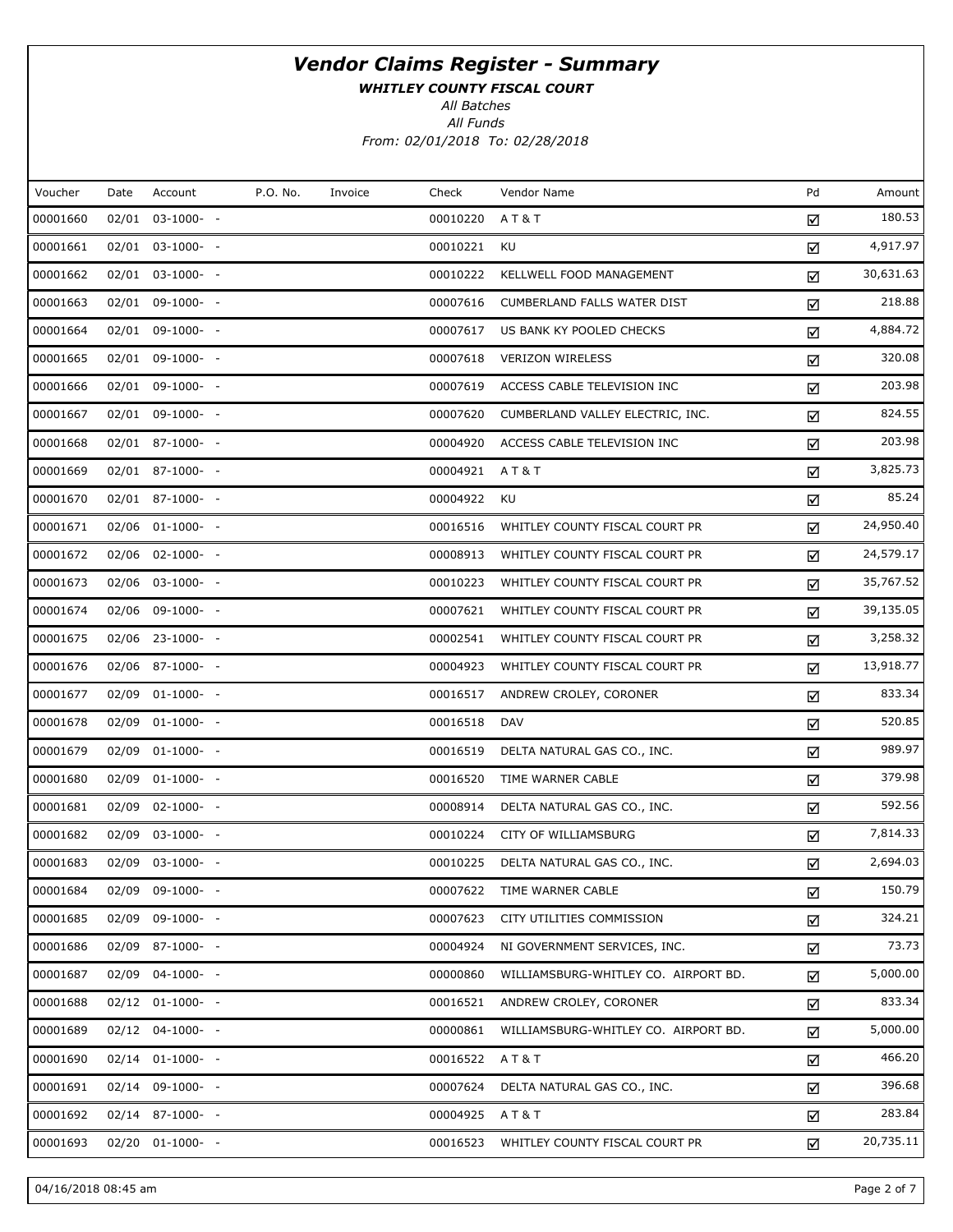WHITLEY COUNTY FISCAL COURT

All Batches

All Funds From: 02/01/2018 To: 02/28/2018

| Voucher  | Date  | Account               | P.O. No. | Invoice | Check    | Vendor Name                          | Pd | Amount    |
|----------|-------|-----------------------|----------|---------|----------|--------------------------------------|----|-----------|
| 00001660 |       | $02/01$ $03-1000$ - - |          |         | 00010220 | AT&T                                 | ☑  | 180.53    |
| 00001661 |       | $02/01$ $03-1000$ - - |          |         | 00010221 | KU                                   | ☑  | 4,917.97  |
| 00001662 |       | $02/01$ $03-1000$ - - |          |         | 00010222 | KELLWELL FOOD MANAGEMENT             | ☑  | 30,631.63 |
| 00001663 |       | $02/01$ 09-1000- -    |          |         | 00007616 | CUMBERLAND FALLS WATER DIST          | ☑  | 218.88    |
| 00001664 |       | $02/01$ 09-1000- -    |          |         | 00007617 | US BANK KY POOLED CHECKS             | ☑  | 4,884.72  |
| 00001665 |       | $02/01$ 09-1000- -    |          |         | 00007618 | <b>VERIZON WIRELESS</b>              | ☑  | 320.08    |
| 00001666 |       | $02/01$ 09-1000- -    |          |         | 00007619 | ACCESS CABLE TELEVISION INC          | ☑  | 203.98    |
| 00001667 |       | $02/01$ 09-1000- -    |          |         | 00007620 | CUMBERLAND VALLEY ELECTRIC, INC.     | ☑  | 824.55    |
| 00001668 |       | $02/01$ 87-1000- -    |          |         | 00004920 | ACCESS CABLE TELEVISION INC          | ☑  | 203.98    |
| 00001669 |       | $02/01$ 87-1000- -    |          |         | 00004921 | A T & T                              | ☑  | 3,825.73  |
| 00001670 |       | $02/01$ 87-1000- -    |          |         | 00004922 | KU                                   | ☑  | 85.24     |
| 00001671 |       | 02/06 01-1000- -      |          |         | 00016516 | WHITLEY COUNTY FISCAL COURT PR       | ☑  | 24,950.40 |
| 00001672 |       | 02/06 02-1000- -      |          |         | 00008913 | WHITLEY COUNTY FISCAL COURT PR       | ☑  | 24,579.17 |
| 00001673 |       | 02/06 03-1000- -      |          |         | 00010223 | WHITLEY COUNTY FISCAL COURT PR       | ☑  | 35,767.52 |
| 00001674 |       | 02/06 09-1000- -      |          |         | 00007621 | WHITLEY COUNTY FISCAL COURT PR       | ☑  | 39,135.05 |
| 00001675 |       | 02/06 23-1000- -      |          |         | 00002541 | WHITLEY COUNTY FISCAL COURT PR       | ☑  | 3,258.32  |
| 00001676 |       | 02/06 87-1000- -      |          |         | 00004923 | WHITLEY COUNTY FISCAL COURT PR       | ☑  | 13,918.77 |
| 00001677 |       | $02/09$ $01-1000-$ -  |          |         | 00016517 | ANDREW CROLEY, CORONER               | ☑  | 833.34    |
| 00001678 |       | $02/09$ $01-1000-$ -  |          |         | 00016518 | DAV                                  | ☑  | 520.85    |
| 00001679 |       | $02/09$ $01-1000-$ -  |          |         | 00016519 | DELTA NATURAL GAS CO., INC.          | ☑  | 989.97    |
| 00001680 |       | $02/09$ $01-1000-$ -  |          |         | 00016520 | TIME WARNER CABLE                    | ☑  | 379.98    |
| 00001681 |       | $02/09$ $02-1000$ - - |          |         | 00008914 | DELTA NATURAL GAS CO., INC.          | ☑  | 592.56    |
| 00001682 |       | 02/09 03-1000- -      |          |         | 00010224 | CITY OF WILLIAMSBURG                 | ☑  | 7,814.33  |
| 00001683 |       | 02/09 03-1000- -      |          |         | 00010225 | DELTA NATURAL GAS CO., INC.          | ☑  | 2,694.03  |
| 00001684 |       | 02/09 09-1000- -      |          |         | 00007622 | TIME WARNER CABLE                    | ☑  | 150.79    |
| 00001685 | 02/09 | 09-1000- -            |          |         | 00007623 | CITY UTILITIES COMMISSION            | ☑  | 324.21    |
| 00001686 |       | 02/09 87-1000- -      |          |         | 00004924 | NI GOVERNMENT SERVICES, INC.         | ☑  | 73.73     |
| 00001687 |       | $02/09$ $04-1000-$    |          |         | 00000860 | WILLIAMSBURG-WHITLEY CO. AIRPORT BD. | ☑  | 5,000.00  |
| 00001688 |       | $02/12$ $01-1000-$ -  |          |         | 00016521 | ANDREW CROLEY, CORONER               | ☑  | 833.34    |
| 00001689 |       | $02/12$ $04-1000-$    |          |         | 00000861 | WILLIAMSBURG-WHITLEY CO. AIRPORT BD. | ☑  | 5,000.00  |
| 00001690 |       | $02/14$ $01-1000$ - - |          |         | 00016522 | AT&T                                 | ☑  | 466.20    |
| 00001691 |       | $02/14$ 09-1000- -    |          |         | 00007624 | DELTA NATURAL GAS CO., INC.          | ☑  | 396.68    |
| 00001692 |       | 02/14 87-1000- -      |          |         | 00004925 | AT&T                                 | ☑  | 283.84    |
| 00001693 |       | $02/20$ $01-1000$ - - |          |         | 00016523 | WHITLEY COUNTY FISCAL COURT PR       | ☑  | 20,735.11 |
|          |       |                       |          |         |          |                                      |    |           |

04/16/2018 08:45 am Page 2 of 7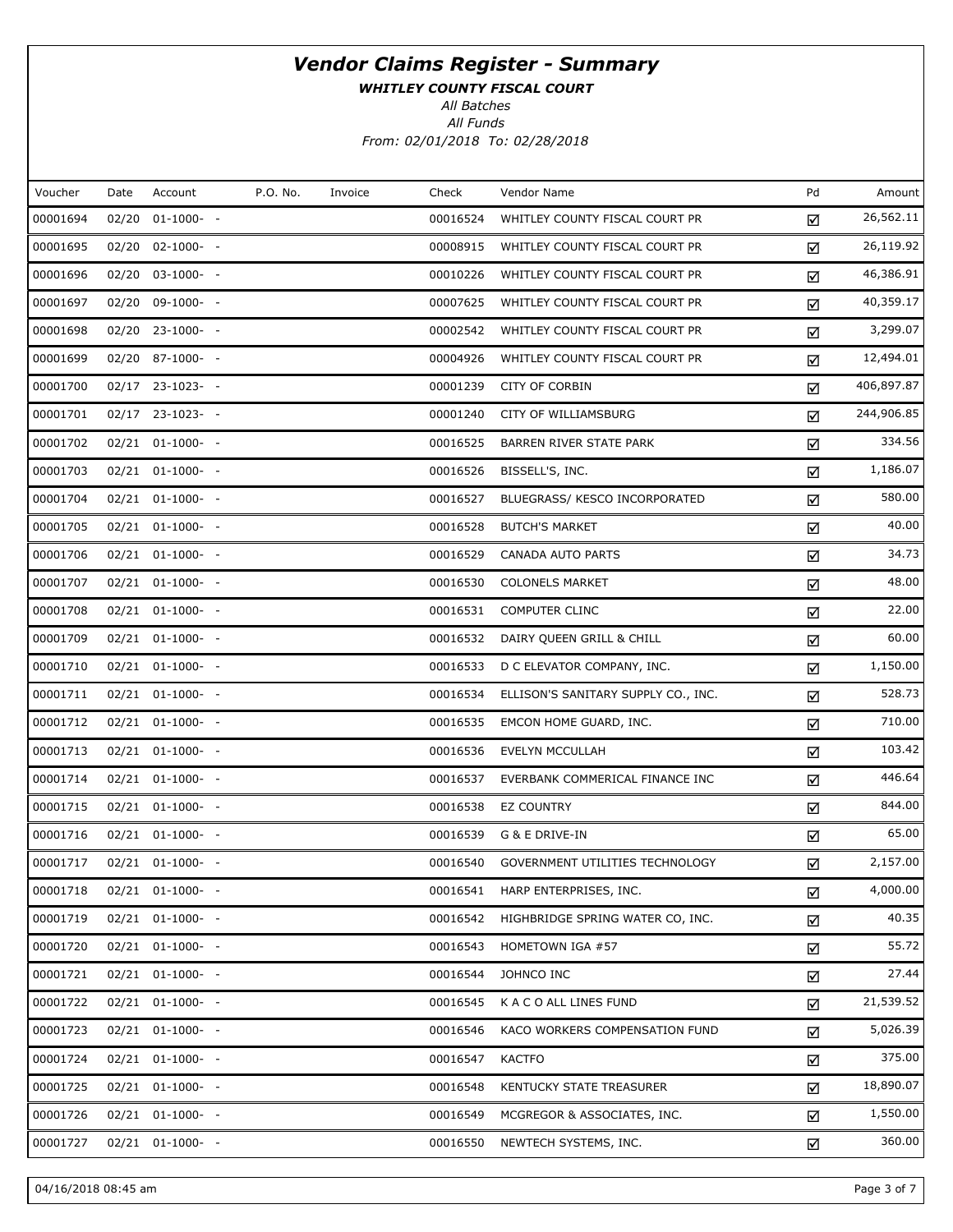WHITLEY COUNTY FISCAL COURT

All Batches

All Funds From: 02/01/2018 To: 02/28/2018

| Voucher  | Date  | Account               | P.O. No. | Invoice | Check    | Vendor Name                         | Pd | Amount     |
|----------|-------|-----------------------|----------|---------|----------|-------------------------------------|----|------------|
| 00001694 | 02/20 | $01-1000-$ -          |          |         | 00016524 | WHITLEY COUNTY FISCAL COURT PR      | ☑  | 26,562.11  |
| 00001695 |       | $02/20$ $02-1000-$ -  |          |         | 00008915 | WHITLEY COUNTY FISCAL COURT PR      | ☑  | 26,119.92  |
| 00001696 |       | $02/20$ $03-1000$ - - |          |         | 00010226 | WHITLEY COUNTY FISCAL COURT PR      | ☑  | 46,386.91  |
| 00001697 |       | 02/20 09-1000- -      |          |         | 00007625 | WHITLEY COUNTY FISCAL COURT PR      | ☑  | 40,359.17  |
| 00001698 |       | 02/20 23-1000- -      |          |         | 00002542 | WHITLEY COUNTY FISCAL COURT PR      | ☑  | 3,299.07   |
| 00001699 |       | 02/20 87-1000- -      |          |         | 00004926 | WHITLEY COUNTY FISCAL COURT PR      | ☑  | 12,494.01  |
| 00001700 |       | $02/17$ 23-1023- -    |          |         | 00001239 | <b>CITY OF CORBIN</b>               | ☑  | 406,897.87 |
| 00001701 |       | $02/17$ 23-1023- -    |          |         | 00001240 | CITY OF WILLIAMSBURG                | ☑  | 244,906.85 |
| 00001702 |       | $02/21$ $01-1000-$ -  |          |         | 00016525 | BARREN RIVER STATE PARK             | ☑  | 334.56     |
| 00001703 |       | $02/21$ $01-1000-$ -  |          |         | 00016526 | BISSELL'S, INC.                     | ☑  | 1,186.07   |
| 00001704 |       | $02/21$ $01-1000-$ -  |          |         | 00016527 | BLUEGRASS/ KESCO INCORPORATED       | ☑  | 580.00     |
| 00001705 |       | $02/21$ $01-1000-$ -  |          |         | 00016528 | <b>BUTCH'S MARKET</b>               | ☑  | 40.00      |
| 00001706 |       | $02/21$ $01-1000-$ -  |          |         | 00016529 | CANADA AUTO PARTS                   | ☑  | 34.73      |
| 00001707 |       | $02/21$ $01-1000-$ -  |          |         | 00016530 | <b>COLONELS MARKET</b>              | ☑  | 48.00      |
| 00001708 |       | $02/21$ $01-1000-$ -  |          |         | 00016531 | <b>COMPUTER CLINC</b>               | ☑  | 22.00      |
| 00001709 |       | $02/21$ $01-1000-$ -  |          |         | 00016532 | DAIRY QUEEN GRILL & CHILL           | ☑  | 60.00      |
| 00001710 |       | $02/21$ $01-1000-$ -  |          |         | 00016533 | D C ELEVATOR COMPANY, INC.          | ☑  | 1,150.00   |
| 00001711 |       | 02/21 01-1000- -      |          |         | 00016534 | ELLISON'S SANITARY SUPPLY CO., INC. | ☑  | 528.73     |
| 00001712 |       | $02/21$ $01-1000-$ -  |          |         | 00016535 | EMCON HOME GUARD, INC.              | ☑  | 710.00     |
| 00001713 |       | 02/21 01-1000- -      |          |         | 00016536 | EVELYN MCCULLAH                     | ☑  | 103.42     |
| 00001714 |       | $02/21$ $01-1000-$ -  |          |         | 00016537 | EVERBANK COMMERICAL FINANCE INC     | ☑  | 446.64     |
| 00001715 |       | 02/21 01-1000- -      |          |         | 00016538 | <b>EZ COUNTRY</b>                   | ☑  | 844.00     |
| 00001716 |       | $02/21$ $01-1000-$ -  |          |         | 00016539 | G & E DRIVE-IN                      | ☑  | 65.00      |
| 00001717 |       | 02/21 01-1000- -      |          |         | 00016540 | GOVERNMENT UTILITIES TECHNOLOGY     | ☑  | 2,157.00   |
| 00001718 |       | $02/21$ $01-1000$ - - |          |         | 00016541 | HARP ENTERPRISES, INC.              | ☑  | 4,000.00   |
| 00001719 |       | $02/21$ $01-1000-$ -  |          |         | 00016542 | HIGHBRIDGE SPRING WATER CO, INC.    | ☑  | 40.35      |
| 00001720 |       | $02/21$ $01-1000-$ -  |          |         | 00016543 | HOMETOWN IGA #57                    | ☑  | 55.72      |
| 00001721 |       | $02/21$ $01-1000-$ -  |          |         | 00016544 | JOHNCO INC                          | ☑  | 27.44      |
| 00001722 |       | $02/21$ $01-1000-$ -  |          |         | 00016545 | K A C O ALL LINES FUND              | ☑  | 21,539.52  |
| 00001723 |       | $02/21$ $01-1000-$ -  |          |         | 00016546 | KACO WORKERS COMPENSATION FUND      | ☑  | 5,026.39   |
| 00001724 |       | $02/21$ $01-1000-$ -  |          |         | 00016547 | <b>KACTFO</b>                       | ☑  | 375.00     |
| 00001725 |       | $02/21$ $01-1000-$ -  |          |         | 00016548 | KENTUCKY STATE TREASURER            | ☑  | 18,890.07  |
| 00001726 |       | $02/21$ $01-1000-$ -  |          |         | 00016549 | MCGREGOR & ASSOCIATES, INC.         | ☑  | 1,550.00   |
| 00001727 |       | $02/21$ $01-1000-$ -  |          |         | 00016550 | NEWTECH SYSTEMS, INC.               | ☑  | 360.00     |

04/16/2018 08:45 am Page 3 of 7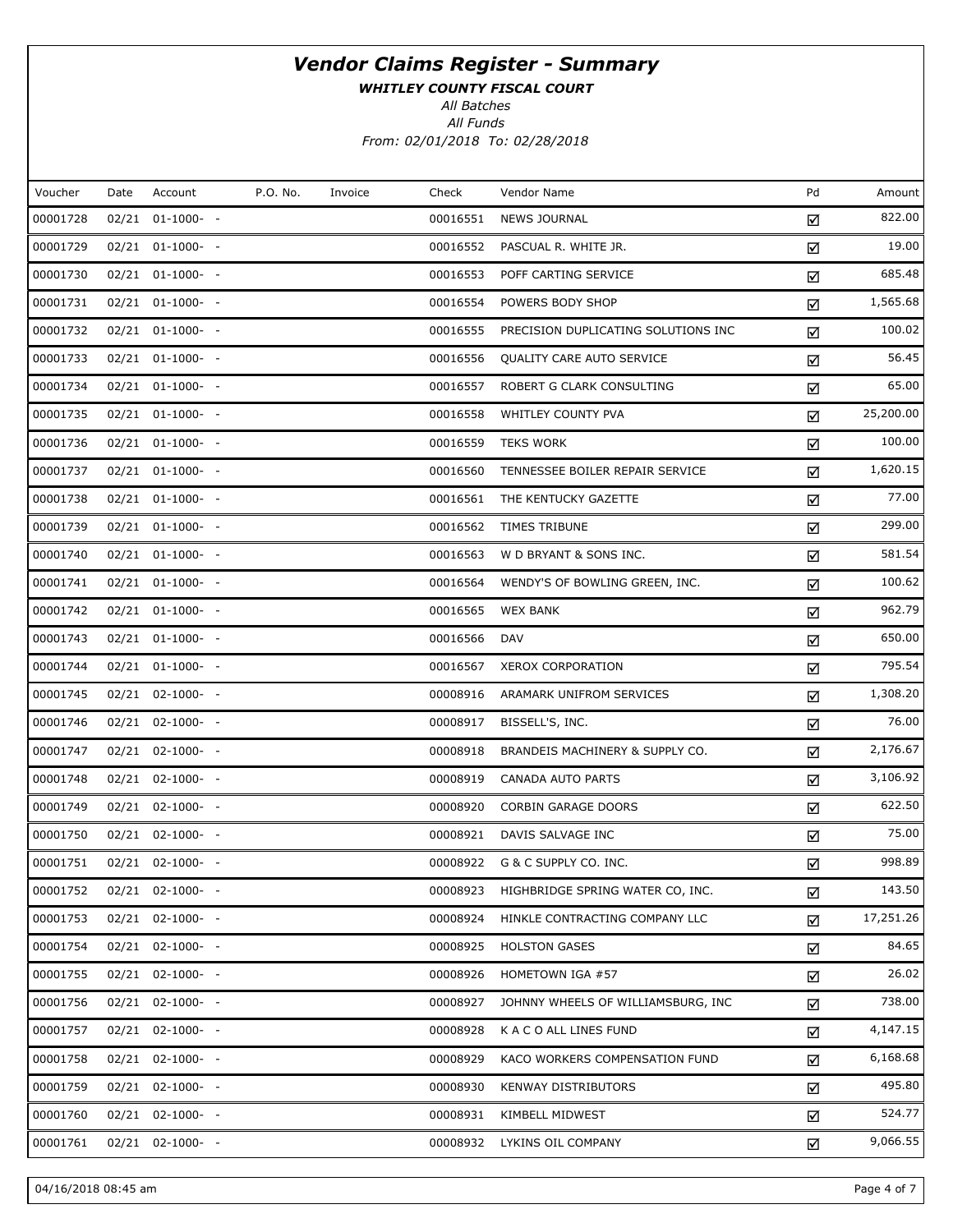WHITLEY COUNTY FISCAL COURT

All Batches

All Funds From: 02/01/2018 To: 02/28/2018

| Voucher  | Date | Account               | P.O. No. | Invoice | Check    | Vendor Name                         | Pd | Amount    |
|----------|------|-----------------------|----------|---------|----------|-------------------------------------|----|-----------|
| 00001728 |      | $02/21$ $01-1000-$ -  |          |         | 00016551 | <b>NEWS JOURNAL</b>                 | ☑  | 822.00    |
| 00001729 |      | $02/21$ $01-1000-$ -  |          |         | 00016552 | PASCUAL R. WHITE JR.                | ☑  | 19.00     |
| 00001730 |      | $02/21$ $01-1000$ - - |          |         | 00016553 | POFF CARTING SERVICE                | ☑  | 685.48    |
| 00001731 |      | $02/21$ $01-1000-$ -  |          |         | 00016554 | POWERS BODY SHOP                    | ☑  | 1,565.68  |
| 00001732 |      | $02/21$ $01-1000$ - - |          |         | 00016555 | PRECISION DUPLICATING SOLUTIONS INC | ☑  | 100.02    |
| 00001733 |      | 02/21 01-1000- -      |          |         | 00016556 | QUALITY CARE AUTO SERVICE           | ☑  | 56.45     |
| 00001734 |      | $02/21$ $01-1000$ - - |          |         | 00016557 | ROBERT G CLARK CONSULTING           | ☑  | 65.00     |
| 00001735 |      | 02/21 01-1000- -      |          |         | 00016558 | WHITLEY COUNTY PVA                  | ☑  | 25,200.00 |
| 00001736 |      | $02/21$ $01-1000-$ -  |          |         | 00016559 | <b>TEKS WORK</b>                    | ☑  | 100.00    |
| 00001737 |      | 02/21 01-1000- -      |          |         | 00016560 | TENNESSEE BOILER REPAIR SERVICE     | ☑  | 1,620.15  |
| 00001738 |      | $02/21$ $01-1000-$ -  |          |         | 00016561 | THE KENTUCKY GAZETTE                | ☑  | 77.00     |
| 00001739 |      | 02/21 01-1000- -      |          |         | 00016562 | TIMES TRIBUNE                       | ☑  | 299.00    |
| 00001740 |      | $02/21$ $01-1000-$ -  |          |         | 00016563 | W D BRYANT & SONS INC.              | ☑  | 581.54    |
| 00001741 |      | $02/21$ $01-1000-$ -  |          |         | 00016564 | WENDY'S OF BOWLING GREEN, INC.      | ☑  | 100.62    |
| 00001742 |      | $02/21$ $01-1000-$ -  |          |         | 00016565 | <b>WEX BANK</b>                     | ☑  | 962.79    |
| 00001743 |      | 02/21 01-1000- -      |          |         | 00016566 | DAV                                 | ☑  | 650.00    |
| 00001744 |      | $02/21$ $01-1000-$ -  |          |         | 00016567 | <b>XEROX CORPORATION</b>            | ☑  | 795.54    |
| 00001745 |      | 02/21 02-1000- -      |          |         | 00008916 | ARAMARK UNIFROM SERVICES            | ☑  | 1,308.20  |
| 00001746 |      | $02/21$ $02-1000-$ -  |          |         | 00008917 | BISSELL'S, INC.                     | ☑  | 76.00     |
| 00001747 |      | 02/21 02-1000- -      |          |         | 00008918 | BRANDEIS MACHINERY & SUPPLY CO.     | ☑  | 2,176.67  |
| 00001748 |      | $02/21$ $02-1000-$ -  |          |         | 00008919 | CANADA AUTO PARTS                   | ☑  | 3,106.92  |
| 00001749 |      | 02/21 02-1000- -      |          |         | 00008920 | <b>CORBIN GARAGE DOORS</b>          | ☑  | 622.50    |
| 00001750 |      | $02/21$ $02-1000-$ -  |          |         | 00008921 | DAVIS SALVAGE INC                   | ☑  | 75.00     |
| 00001751 |      | $02/21$ $02-1000-$ -  |          |         | 00008922 | G & C SUPPLY CO. INC.               | ☑  | 998.89    |
| 00001752 |      | $02/21$ $02-1000-$ -  |          |         | 00008923 | HIGHBRIDGE SPRING WATER CO, INC.    | ☑  | 143.50    |
| 00001753 |      | $02/21$ $02-1000$ - - |          |         | 00008924 | HINKLE CONTRACTING COMPANY LLC      | ☑  | 17,251.26 |
| 00001754 |      | $02/21$ $02-1000-$ -  |          |         | 00008925 | <b>HOLSTON GASES</b>                | ☑  | 84.65     |
| 00001755 |      | $02/21$ $02-1000$ - - |          |         | 00008926 | HOMETOWN IGA #57                    | ☑  | 26.02     |
| 00001756 |      | $02/21$ $02-1000$ - - |          |         | 00008927 | JOHNNY WHEELS OF WILLIAMSBURG, INC  | ☑  | 738.00    |
| 00001757 |      | $02/21$ $02-1000$ - - |          |         | 00008928 | K A C O ALL LINES FUND              | ☑  | 4,147.15  |
| 00001758 |      | $02/21$ $02-1000$ - - |          |         | 00008929 | KACO WORKERS COMPENSATION FUND      | ☑  | 6,168.68  |
| 00001759 |      | $02/21$ $02-1000$ - - |          |         | 00008930 | <b>KENWAY DISTRIBUTORS</b>          | ☑  | 495.80    |
| 00001760 |      | $02/21$ $02-1000$ - - |          |         | 00008931 | KIMBELL MIDWEST                     | ☑  | 524.77    |
| 00001761 |      | $02/21$ $02-1000-$ -  |          |         | 00008932 | LYKINS OIL COMPANY                  | ☑  | 9,066.55  |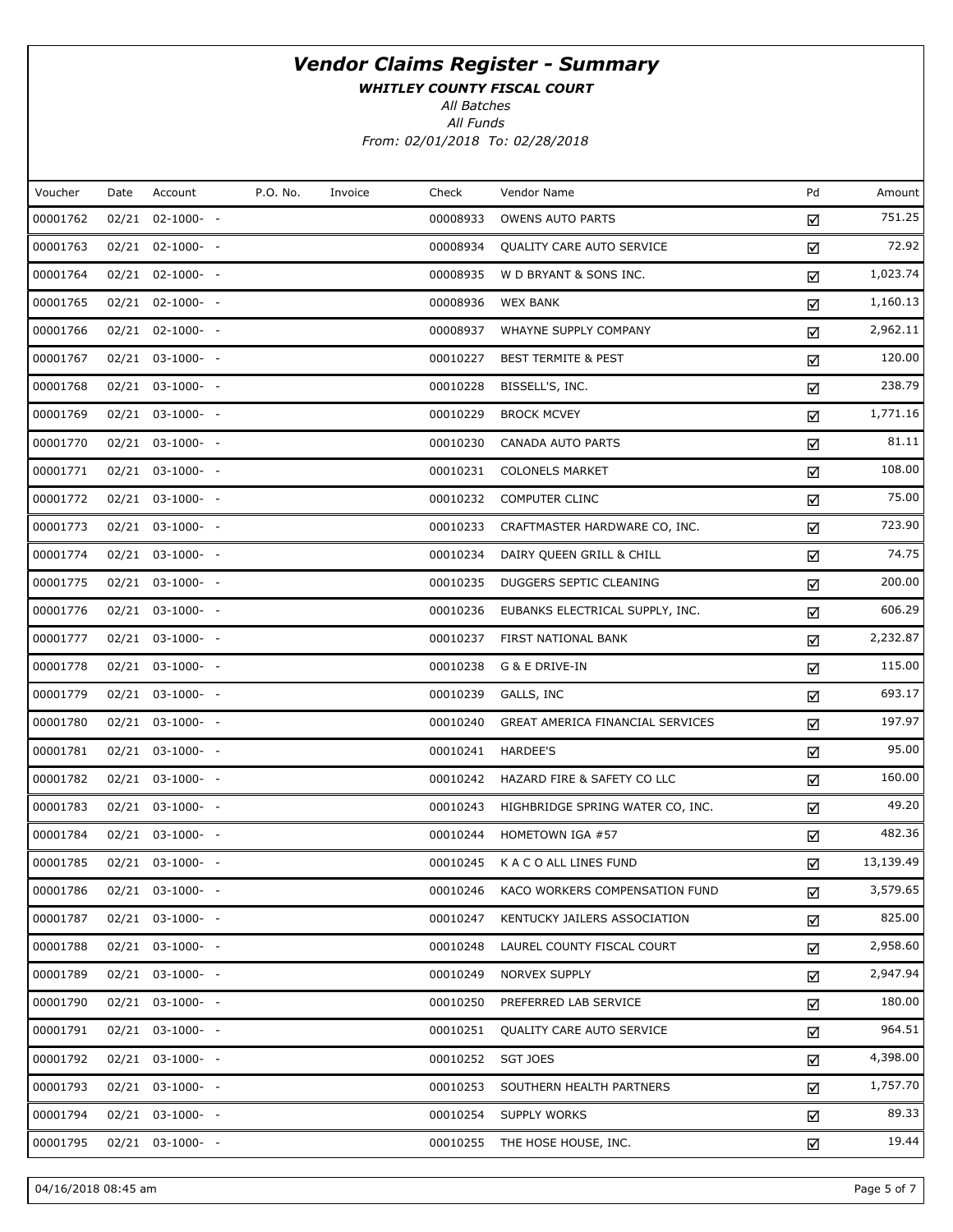WHITLEY COUNTY FISCAL COURT

All Batches

All Funds From: 02/01/2018 To: 02/28/2018

| Voucher  | Date | Account               | P.O. No. | Invoice | Check    | Vendor Name                      | Pd | Amount    |
|----------|------|-----------------------|----------|---------|----------|----------------------------------|----|-----------|
| 00001762 |      | 02/21 02-1000- -      |          |         | 00008933 | <b>OWENS AUTO PARTS</b>          | ☑  | 751.25    |
| 00001763 |      | 02/21 02-1000- -      |          |         | 00008934 | QUALITY CARE AUTO SERVICE        | ☑  | 72.92     |
| 00001764 |      | 02/21 02-1000- -      |          |         | 00008935 | W D BRYANT & SONS INC.           | ☑  | 1,023.74  |
| 00001765 |      | 02/21 02-1000- -      |          |         | 00008936 | <b>WEX BANK</b>                  | ☑  | 1,160.13  |
| 00001766 |      | 02/21 02-1000- -      |          |         | 00008937 | WHAYNE SUPPLY COMPANY            | ☑  | 2,962.11  |
| 00001767 |      | 02/21 03-1000- -      |          |         | 00010227 | <b>BEST TERMITE &amp; PEST</b>   | ☑  | 120.00    |
| 00001768 |      | 02/21 03-1000- -      |          |         | 00010228 | BISSELL'S, INC.                  | ☑  | 238.79    |
| 00001769 |      | 02/21 03-1000- -      |          |         | 00010229 | <b>BROCK MCVEY</b>               | ☑  | 1,771.16  |
| 00001770 |      | 02/21 03-1000- -      |          |         | 00010230 | CANADA AUTO PARTS                | ☑  | 81.11     |
| 00001771 |      | 02/21 03-1000- -      |          |         | 00010231 | <b>COLONELS MARKET</b>           | ☑  | 108.00    |
| 00001772 |      | $02/21$ $03-1000-$ -  |          |         | 00010232 | <b>COMPUTER CLINC</b>            | ☑  | 75.00     |
| 00001773 |      | 02/21 03-1000- -      |          |         | 00010233 | CRAFTMASTER HARDWARE CO, INC.    | ☑  | 723.90    |
| 00001774 |      | $02/21$ $03-1000-$ -  |          |         | 00010234 | DAIRY QUEEN GRILL & CHILL        | ☑  | 74.75     |
| 00001775 |      | 02/21 03-1000- -      |          |         | 00010235 | DUGGERS SEPTIC CLEANING          | ☑  | 200.00    |
| 00001776 |      | 02/21 03-1000- -      |          |         | 00010236 | EUBANKS ELECTRICAL SUPPLY, INC.  | ☑  | 606.29    |
| 00001777 |      | 02/21 03-1000- -      |          |         | 00010237 | FIRST NATIONAL BANK              | ☑  | 2,232.87  |
| 00001778 |      | 02/21 03-1000- -      |          |         | 00010238 | G & E DRIVE-IN                   | ☑  | 115.00    |
| 00001779 |      | 02/21 03-1000- -      |          |         | 00010239 | GALLS, INC                       | ☑  | 693.17    |
| 00001780 |      | 02/21 03-1000- -      |          |         | 00010240 | GREAT AMERICA FINANCIAL SERVICES | ☑  | 197.97    |
| 00001781 |      | 02/21 03-1000- -      |          |         | 00010241 | <b>HARDEE'S</b>                  | ☑  | 95.00     |
| 00001782 |      | $02/21$ $03-1000-$ -  |          |         | 00010242 | HAZARD FIRE & SAFETY CO LLC      | ☑  | 160.00    |
| 00001783 |      | 02/21 03-1000- -      |          |         | 00010243 | HIGHBRIDGE SPRING WATER CO, INC. | ☑  | 49.20     |
| 00001784 |      | $02/21$ $03-1000$ - - |          |         | 00010244 | HOMETOWN IGA #57                 | ☑  | 482.36    |
| 00001785 |      | 02/21 03-1000- -      |          |         | 00010245 | K A C O ALL LINES FUND           | ☑  | 13,139.49 |
| 00001786 |      | 02/21 03-1000- -      |          |         | 00010246 | KACO WORKERS COMPENSATION FUND   | ☑  | 3,579.65  |
| 00001787 |      | 02/21 03-1000- -      |          |         | 00010247 | KENTUCKY JAILERS ASSOCIATION     | ☑  | 825.00    |
| 00001788 |      | 02/21 03-1000- -      |          |         | 00010248 | LAUREL COUNTY FISCAL COURT       | ☑  | 2,958.60  |
| 00001789 |      | 02/21 03-1000- -      |          |         | 00010249 | <b>NORVEX SUPPLY</b>             | ☑  | 2,947.94  |
| 00001790 |      | 02/21 03-1000- -      |          |         | 00010250 | PREFERRED LAB SERVICE            | ☑  | 180.00    |
| 00001791 |      | 02/21 03-1000- -      |          |         | 00010251 | <b>QUALITY CARE AUTO SERVICE</b> | ☑  | 964.51    |
| 00001792 |      | 02/21 03-1000- -      |          |         | 00010252 | SGT JOES                         | ☑  | 4,398.00  |
| 00001793 |      | 02/21 03-1000- -      |          |         | 00010253 | SOUTHERN HEALTH PARTNERS         | ☑  | 1,757.70  |
| 00001794 |      | 02/21 03-1000- -      |          |         | 00010254 | SUPPLY WORKS                     | ☑  | 89.33     |
| 00001795 |      | 02/21 03-1000- -      |          |         |          | 00010255 THE HOSE HOUSE, INC.    | ☑  | 19.44     |
|          |      |                       |          |         |          |                                  |    |           |

04/16/2018 08:45 am Page 5 of 7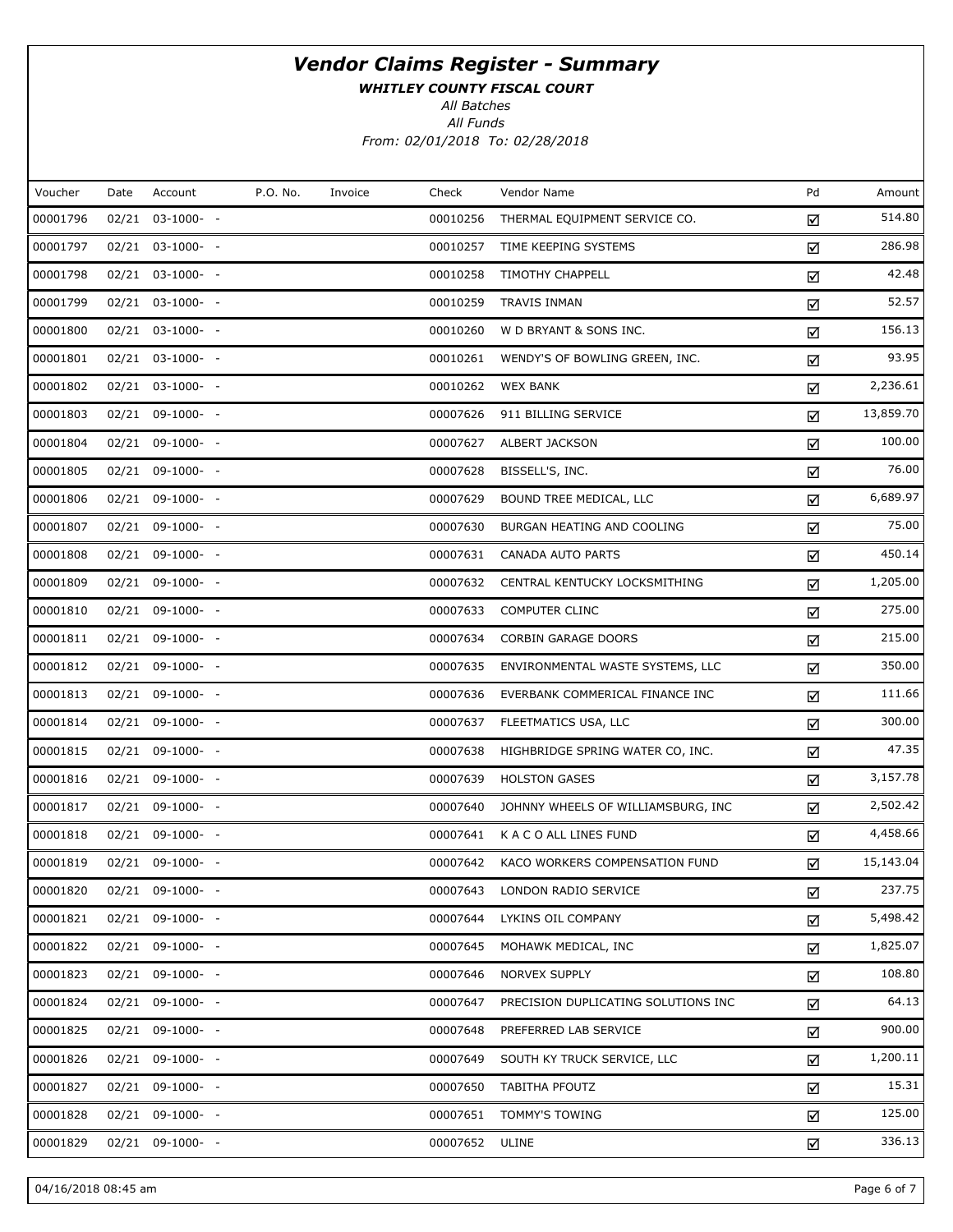WHITLEY COUNTY FISCAL COURT

All Batches

All Funds From: 02/01/2018 To: 02/28/2018

| Voucher  | Date | Account               | P.O. No. | Invoice | Check    | Vendor Name                         | Pd | Amount    |
|----------|------|-----------------------|----------|---------|----------|-------------------------------------|----|-----------|
| 00001796 |      | 02/21 03-1000- -      |          |         | 00010256 | THERMAL EQUIPMENT SERVICE CO.       | ☑  | 514.80    |
| 00001797 |      | 02/21 03-1000- -      |          |         | 00010257 | TIME KEEPING SYSTEMS                | ☑  | 286.98    |
| 00001798 |      | $02/21$ $03-1000$ - - |          |         | 00010258 | <b>TIMOTHY CHAPPELL</b>             | ☑  | 42.48     |
| 00001799 |      | 02/21 03-1000- -      |          |         | 00010259 | <b>TRAVIS INMAN</b>                 | ☑  | 52.57     |
| 00001800 |      | $02/21$ $03-1000$ - - |          |         | 00010260 | W D BRYANT & SONS INC.              | ☑  | 156.13    |
| 00001801 |      | 02/21 03-1000- -      |          |         | 00010261 | WENDY'S OF BOWLING GREEN, INC.      | ☑  | 93.95     |
| 00001802 |      | $02/21$ $03-1000-$ -  |          |         | 00010262 | <b>WEX BANK</b>                     | ☑  | 2,236.61  |
| 00001803 |      | 02/21 09-1000- -      |          |         | 00007626 | 911 BILLING SERVICE                 | ☑  | 13,859.70 |
| 00001804 |      | 02/21 09-1000- -      |          |         | 00007627 | <b>ALBERT JACKSON</b>               | ☑  | 100.00    |
| 00001805 |      | 02/21 09-1000- -      |          |         | 00007628 | BISSELL'S, INC.                     | ☑  | 76.00     |
| 00001806 |      | 02/21 09-1000- -      |          |         | 00007629 | BOUND TREE MEDICAL, LLC             | ☑  | 6,689.97  |
| 00001807 |      | 02/21 09-1000- -      |          |         | 00007630 | BURGAN HEATING AND COOLING          | ☑  | 75.00     |
| 00001808 |      | 02/21 09-1000- -      |          |         | 00007631 | <b>CANADA AUTO PARTS</b>            | ☑  | 450.14    |
| 00001809 |      | 02/21 09-1000- -      |          |         | 00007632 | CENTRAL KENTUCKY LOCKSMITHING       | ☑  | 1,205.00  |
| 00001810 |      | $02/21$ 09-1000- -    |          |         | 00007633 | <b>COMPUTER CLINC</b>               | ☑  | 275.00    |
| 00001811 |      | 02/21 09-1000- -      |          |         | 00007634 | <b>CORBIN GARAGE DOORS</b>          | ☑  | 215.00    |
| 00001812 |      | 02/21 09-1000- -      |          |         | 00007635 | ENVIRONMENTAL WASTE SYSTEMS, LLC    | ☑  | 350.00    |
| 00001813 |      | 02/21 09-1000- -      |          |         | 00007636 | EVERBANK COMMERICAL FINANCE INC     | ☑  | 111.66    |
| 00001814 |      | 02/21 09-1000- -      |          |         | 00007637 | FLEETMATICS USA, LLC                | ☑  | 300.00    |
| 00001815 |      | 02/21 09-1000- -      |          |         | 00007638 | HIGHBRIDGE SPRING WATER CO, INC.    | ☑  | 47.35     |
| 00001816 |      | 02/21 09-1000- -      |          |         | 00007639 | <b>HOLSTON GASES</b>                | ☑  | 3,157.78  |
| 00001817 |      | 02/21 09-1000- -      |          |         | 00007640 | JOHNNY WHEELS OF WILLIAMSBURG, INC  | ☑  | 2,502.42  |
| 00001818 |      | 02/21 09-1000- -      |          |         | 00007641 | K A C O ALL LINES FUND              | ☑  | 4,458.66  |
| 00001819 |      | 02/21 09-1000- -      |          |         | 00007642 | KACO WORKERS COMPENSATION FUND      | ☑  | 15,143.04 |
| 00001820 |      | 02/21 09-1000- -      |          |         | 00007643 | LONDON RADIO SERVICE                | ☑  | 237.75    |
| 00001821 |      | $02/21$ 09-1000- -    |          |         | 00007644 | LYKINS OIL COMPANY                  | ☑  | 5,498.42  |
| 00001822 |      | 02/21 09-1000- -      |          |         | 00007645 | MOHAWK MEDICAL, INC                 | ☑  | 1,825.07  |
| 00001823 |      | $02/21$ 09-1000- -    |          |         | 00007646 | NORVEX SUPPLY                       | ☑  | 108.80    |
| 00001824 |      | 02/21 09-1000- -      |          |         | 00007647 | PRECISION DUPLICATING SOLUTIONS INC | ☑  | 64.13     |
| 00001825 |      | $02/21$ 09-1000- -    |          |         | 00007648 | PREFERRED LAB SERVICE               | ☑  | 900.00    |
| 00001826 |      | 02/21 09-1000- -      |          |         | 00007649 | SOUTH KY TRUCK SERVICE, LLC         | ☑  | 1,200.11  |
| 00001827 |      | $02/21$ 09-1000- -    |          |         | 00007650 | <b>TABITHA PFOUTZ</b>               | ☑  | 15.31     |
| 00001828 |      | 02/21 09-1000- -      |          |         | 00007651 | TOMMY'S TOWING                      | ☑  | 125.00    |
| 00001829 |      | 02/21 09-1000- -      |          |         | 00007652 | ULINE                               | ☑  | 336.13    |
|          |      |                       |          |         |          |                                     |    |           |